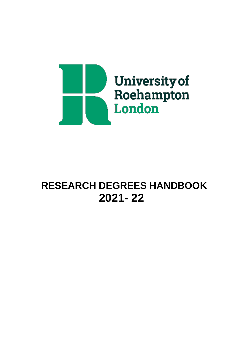

# **RESEARCH DEGREES HANDBOOK 2021- 22**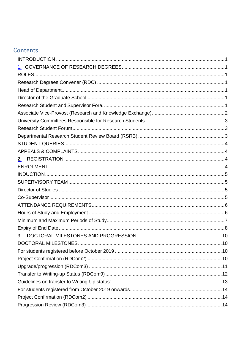# Contents

| 2. |  |
|----|--|
|    |  |
|    |  |
|    |  |
|    |  |
|    |  |
|    |  |
|    |  |
|    |  |
|    |  |
| 3. |  |
|    |  |
|    |  |
|    |  |
|    |  |
|    |  |
|    |  |
|    |  |
|    |  |
|    |  |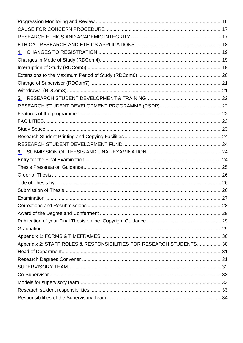| <u>4.</u>                                                          |  |
|--------------------------------------------------------------------|--|
|                                                                    |  |
|                                                                    |  |
|                                                                    |  |
|                                                                    |  |
|                                                                    |  |
| <u>5.</u>                                                          |  |
|                                                                    |  |
|                                                                    |  |
|                                                                    |  |
|                                                                    |  |
|                                                                    |  |
|                                                                    |  |
|                                                                    |  |
|                                                                    |  |
|                                                                    |  |
|                                                                    |  |
|                                                                    |  |
|                                                                    |  |
|                                                                    |  |
|                                                                    |  |
|                                                                    |  |
|                                                                    |  |
|                                                                    |  |
|                                                                    |  |
| Appendix 2: STAFF ROLES & RESPONSIBILITIES FOR RESEARCH STUDENTS30 |  |
|                                                                    |  |
|                                                                    |  |
|                                                                    |  |
|                                                                    |  |
|                                                                    |  |
|                                                                    |  |
|                                                                    |  |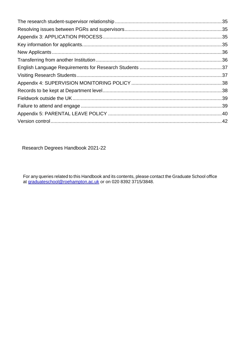Research Degrees Handbook 2021-22

For any queries related to this Handbook and its contents, please contact the Graduate School office at <u>graduateschool@roehampton.ac.uk</u> or on 020 8392 3715/3848.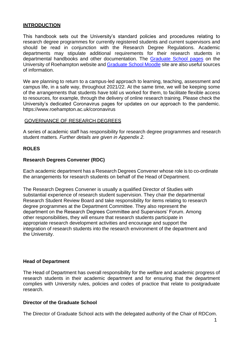#### <span id="page-4-0"></span>**INTRODUCTION**

This handbook sets out the University's standard policies and procedures relating to research degree programmes for currently registered students and current supervisors and should be read in conjunction with the Research Degree Regulations. Academic departments may stipulate additional requirements for their research students in departmental handbooks and other documentation. The [Graduate School pages](https://www.roehampton.ac.uk/graduate-school/) on the University of Roehampton website and [Graduate](https://moodle.roehampton.ac.uk/course/view.php?id=6553) School Moodle site are also useful sources of information.

We are planning to return to a campus-led approach to learning, teaching, assessment and campus life, in a safe way, throughout 2021/22. At the same time, we will be keeping some of the arrangements that students have told us worked for them, to facilitate flexible access to resources, for example, through the delivery of online research training. Please check the University's dedicated Coronavirus pages for updates on our approach to the pandemic. ht[tps://www.roehampton.ac.uk/coronavir](http://www.roehampton.ac.uk/coronavirus)us

#### <span id="page-4-1"></span>GOVERNANCE OF RESEARCH DEGREES

A series of academic staff has responsibility for research degree programmes and research student matters*. Further details are given in Appendix 2.*

#### <span id="page-4-2"></span>**ROLES**

#### <span id="page-4-3"></span>**Research Degrees Convener (RDC)**

Each academic department has a Research Degrees Convener whose role is to co-ordinate the arrangements for research students on behalf of the Head of Department.

The Research Degrees Convener is usually a qualified Director of Studies with substantial experience of research student supervision. They chair the departmental Research Student Review Board and take responsibility for items relating to research degree programmes at the Department Committee. They also represent the department on the Research Degrees Committee and Supervisors' Forum. Among other responsibilities, they will ensure that research students participate in appropriate research development activities and encourage and support the integration of research students into the research environment of the department and the University.

#### <span id="page-4-4"></span>**Head of Department**

The Head of Department has overall responsibility for the welfare and academic progress of research students in their academic department and for ensuring that the department complies with University rules, policies and codes of practice that relate to postgraduate research.

#### <span id="page-4-5"></span>**Director of the Graduate School**

<span id="page-4-6"></span>The Director of Graduate School acts with the delegated authority of the Chair of RDCom.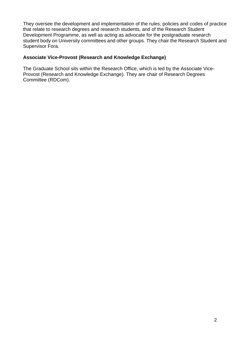They oversee the development and implementation of the rules, policies and codes of practice that relate to research degrees and research students, and of the Research Student Development Programme, as well as acting as advocate for the postgraduate research student body on University committees and other groups. They chair the Research Student and Supervisor Fora.

#### <span id="page-5-0"></span>**Associate Vice-Provost (Research and Knowledge Exchange)**

The Graduate School sits within the Research Office, which is led by the Associate Vice-Provost (Research and Knowledge Exchange). They are chair of Research Degrees Committee (RDCom).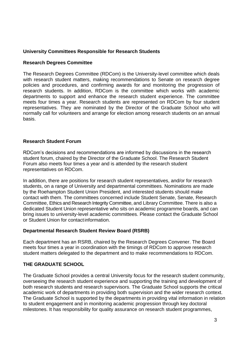#### <span id="page-6-0"></span>**University Committees Responsible for Research Students**

#### **Research Degrees Committee**

The Research Degrees Committee (RDCom) is the University-level committee which deals with research student matters, making recommendations to Senate on research degree policies and procedures, and confirming awards for and monitoring the progression of research students. In addition, RDCom is the committee which works with academic departments to support and enhance the research student experience. The committee meets four times a year. Research students are represented on RDCom by four student representatives. They are nominated by the Director of the Graduate School who will normally call for volunteers and arrange for election among research students on an annual basis.

#### <span id="page-6-1"></span>**Research Student Forum**

RDCom's decisions and recommendations are informed by discussions in the research student forum, chaired by the Director of the Graduate School. The Research Student Forum also meets four times a year and is attended by the research student representatives on RDCom.

In addition, there are positions for research student representatives, and/or for research students, on a range of University and departmental committees. Nominations are made by the Roehampton Student Union President, and interested students should make contact with them. The committees concerned include Student Senate, Senate, Research Committee, Ethics and Research Integrity Committee, and Library Committee. There is also a dedicated Student Union representative who sits on academic programme boards, and can bring issues to university-level academic committees. Please contact the Graduate School or Student Union for contactinformation.

#### <span id="page-6-2"></span>**Departmental Research Student Review Board (RSRB)**

Each department has an RSRB, chaired by the Research Degrees Convener. The Board meets four times a year in coordination with the timings of RDCom to approve research student matters delegated to the department and to make recommendations to RDCom.

#### **THE GRADUATE SCHOOL**

The Graduate School provides a central University focus for the research student community, overseeing the research student experience and supporting the training and development of both research students and research supervisors. The Graduate School supports the critical academic work of departments in providing both supervision and the wider research context. The Graduate School is supported by the departments in providing vital information in relation to student engagement and in monitoring academic progression through key doctoral milestones. It has responsibility for quality assurance on research student programmes,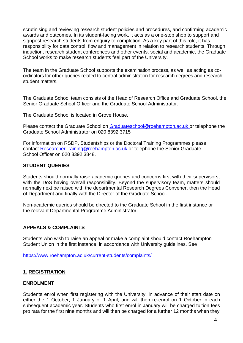scrutinising and reviewing research student policies and procedures, and confirming academic awards and outcomes. In its student-facing work, it acts as a one-stop shop to support and signpost research students from enquiry to completion. As a key part of this role, it has responsibility for data control, flow and management in relation to research students. Through induction, research student conferences and other events, social and academic, the Graduate School works to make research students feel part of the University.

The team in the Graduate School supports the examination process, as well as acting as coordinators for other queries related to central administration for research degrees and research student matters.

The Graduate School team consists of the Head of Research Office and Graduate School, the Senior Graduate School Officer and the Graduate School Administrator.

The Graduate School is located in Grove House.

Please contact the Graduate School on [Graduateschool@roehampton.ac.uk o](mailto:Graduateschool@roehampton.ac.uk)r telephone the Graduate School Administrator on 020 8392 3715

For information on RSDP, Studentships or the Doctoral Training Programmes please contact [ResearcherTraining@roehampton.ac.uk](mailto:ResearcherTraining@roehampton.ac.uk) or telephone the Senior Graduate School Officer on 020 8392 3848.

# <span id="page-7-0"></span>**STUDENT QUERIES**

Students should normally raise academic queries and concerns first with their supervisors, with the DoS having overall responsibility. Beyond the supervisory team, matters should normally next be raised with the departmental Research Degrees Convener, then the Head of Department and finally with the Director of the Graduate School.

Non-academic queries should be directed to the Graduate School in the first instance or the relevant Departmental Programme Administrator.

# <span id="page-7-1"></span>**APPEALS & COMPLAINTS**

Students who wish to raise an appeal or make a complaint should contact Roehampton Student Union in the first instance, in accordance with University guidelines. See

<https://www.roehampton.ac.uk/current-students/complaints/>

# <span id="page-7-2"></span>**1. REGISTRATION**

#### <span id="page-7-3"></span>**ENROLMENT**

Students enrol when first registering with the University, in advance of their start date on either the 1 October, 1 January or 1 April, and will then re-enrol on 1 October in each subsequent academic year. Students who first enrol in January will be charged tuition fees pro rata for the first nine months and will then be charged for a further 12 months when they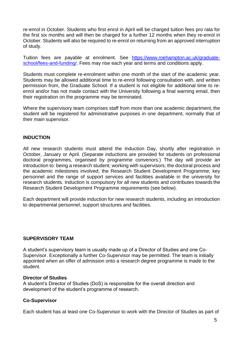re-enrol in October. Students who first enrol in April will be charged tuition fees pro rata for the first six months and will then be charged for a further 12 months when they re-enrol in October. Students will also be required to re-enrol on returning from an approved interruption of study.

Tuition fees are payable at enrolment. See [https://www.roehampton.ac.uk/graduate](https://www.roehampton.ac.uk/graduate-school/fees-and-funding/)[school/fees-and-funding/.](https://www.roehampton.ac.uk/graduate-school/fees-and-funding/) Fees may rise each year and terms and conditions apply.

Students must complete re-enrolment within one month of the start of the academic year. Students may be allowed additional time to re-enrol following consultation with, and written permission from, the Graduate School. If a student is not eligible for additional time to reenrol and/or has not made contact with the University following a final warning email, then their registration on the programme may be terminated.

Where the supervisory team comprises staff from more than one academic department, the student will be registered for administrative purposes in one department, normally that of their main supervisor.

#### <span id="page-8-0"></span>**INDUCTION**

All new research students must attend the Induction Day, shortly after registration in October, January or April. (Separate inductions are provided for students on professional doctoral programmes, organised by programme convenors.) The day will provide an introduction to: being a research student; working with supervisors; the doctoral process and the academic milestones involved; the Research Student Development Programme; key personnel and the range of support services and facilities available in the university for research students. Induction is compulsory for all new students and contributes towards the Research Student Development Programme requirements (see below).

Each department will provide induction for new research students, including an introduction to departmental personnel, support structures and facilities.

#### <span id="page-8-1"></span>**SUPERVISORY TEAM**

A student's supervisory team is usually made up of a Director of Studies and one Co-Supervisor. Exceptionally a further Co-Supervisor may be permitted. The team is initially appointed when an offer of admission onto a research degree programme is made to the student.

#### <span id="page-8-2"></span>**Director of Studies**

A student's Director of Studies (DoS) is responsible for the overall direction and development of the student's programme of research.

# <span id="page-8-3"></span>**Co-Supervisor**

Each student has at least one Co-Supervisor to work with the Director of Studies as part of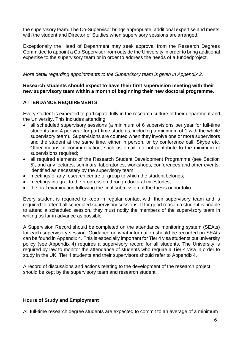the supervisory team. The Co-Supervisor brings appropriate, additional expertise and meets with the student and Director of Studies when supervisory sessions are arranged.

Exceptionally the Head of Department may seek approval from the Research Degrees Committee to appoint a Co-Supervisor from outside the University in order to bring additional expertise to the supervisory team or in order to address the needs of a fundedproject.

#### *More detail regarding appointments to the Supervisory team is given in Appendix 2.*

#### **Research students should expect to have their first supervision meeting with their new supervisory team within a month of beginning their new doctoral programme.**

#### <span id="page-9-0"></span>**ATTENDANCE REQUIREMENTS**

Every student is expected to participate fully in the research culture of their department and the University. This includes attending:

- all scheduled supervisory sessions (a minimum of 6 supervisions per year for full-time students and 4 per year for part-time students, including a minimum of 1 with the whole supervisory team). Supervisions are counted when they involve one or more supervisors and the student at the same time, either in person, or by conference call, Skype etc. Other means of communication, such as email, do not contribute to the minimum of supervisions required;
- all required elements of the Research Student Development Programme (see Section 5), and any lectures, seminars, laboratories, workshops, conferences and other events, identified as necessary by the supervisory team;
- meetings of any research centre or group to which the student belongs;
- meetings integral to the progression through doctoral milestones;
- the oral examination following the final submission of the thesis or portfolio.

Every student is required to keep in regular contact with their supervisory team and is required to attend all scheduled supervisory sessions. If for good reason a student is unable to attend a scheduled session, they must notify the members of the supervisory team in writing as far in advance as possible.

A Supervision Record should be completed on the attendance monitoring system (SEAts) for each supervisory session. Guidance on what information should be recorded on SEAts can be found in Appendix 4. This is especially important for Tier 4 visa students but university policy (see Appendix 4) requires a supervisory record for all students. The University is required by law to monitor the attendance of students who require a Tier 4 visa in order to study in the UK. Tier 4 students and their supervisors should refer to Appendix4.

A record of discussions and actions relating to the development of the research project should be kept by the supervisory team and research student.

#### <span id="page-9-1"></span>**Hours of Study and Employment**

All full-time research degree students are expected to commit to an average of a minimum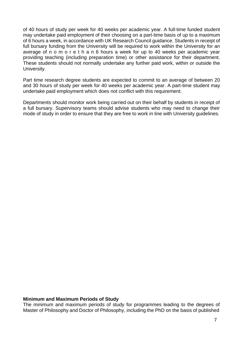of 40 hours of study per week for 40 weeks per academic year. A full-time funded student may undertake paid employment of their choosing on a part-time basis of up to a maximum of 6 hours a week, in accordance with UK Research Council guidance. Students in receipt of full bursary funding from the University will be required to work within the University for an average of n o m o r e t h a n 6 hours a week for up to 40 weeks per academic year providing teaching (including preparation time) or other assistance for their department. These students should not normally undertake any further paid work, within or outside the University.

Part time research degree students are expected to commit to an average of between 20 and 30 hours of study per week for 40 weeks per academic year. A part-time student may undertake paid employment which does not conflict with this requirement.

Departments should monitor work being carried out on their behalf by students in receipt of a full bursary. Supervisory teams should advise students who may need to change their mode of study in order to ensure that they are free to work in line with University guidelines.

#### <span id="page-10-0"></span>**Minimum and Maximum Periods of Study**

The minimum and maximum periods of study for programmes leading to the degrees of Master of Philosophy and Doctor of Philosophy, including the PhD on the basis of published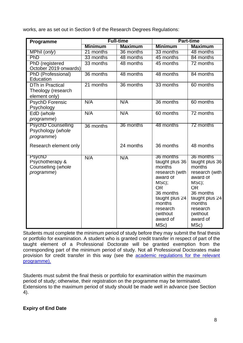works, are as set out in Section 9 of the Research Degrees Regulations:

| Programme                                                            | <b>Full-time</b> |                | <b>Part-time</b>                                                                                                                                                               |                                                                                                                                                                                 |
|----------------------------------------------------------------------|------------------|----------------|--------------------------------------------------------------------------------------------------------------------------------------------------------------------------------|---------------------------------------------------------------------------------------------------------------------------------------------------------------------------------|
|                                                                      | <b>Minimum</b>   | <b>Maximum</b> | <b>Minimum</b>                                                                                                                                                                 | <b>Maximum</b>                                                                                                                                                                  |
| MPhil (only)                                                         | 21 months        | 36 months      | 33 months                                                                                                                                                                      | 48 months                                                                                                                                                                       |
| PhD                                                                  | 33 months        | 48 months      | 45 months                                                                                                                                                                      | 84 months                                                                                                                                                                       |
| PhD (registered<br>October 2019 onwards)                             | 33 months        | 48 months      | 45 months                                                                                                                                                                      | 72 months                                                                                                                                                                       |
| PhD (Professional)<br>Education                                      | 36 months        | 48 months      | 48 months                                                                                                                                                                      | 84 months                                                                                                                                                                       |
| DTh in Practical<br>Theology (research<br>element only)              | 21 months        | 36 months      | 33 months                                                                                                                                                                      | 60 months                                                                                                                                                                       |
| <b>PsychD Forensic</b><br>Psychology                                 | N/A              | N/A            | 36 months                                                                                                                                                                      | 60 months                                                                                                                                                                       |
| EdD (whole<br>programme)                                             | N/A              | N/A            | 60 months                                                                                                                                                                      | 72 months                                                                                                                                                                       |
| <b>PsychD Counselling</b><br>Psychology (whole<br>programme)         | 36 months        | 36 months      | 48 months                                                                                                                                                                      | 72 months                                                                                                                                                                       |
| Research element only                                                |                  | 24 months      | 36 months                                                                                                                                                                      | 48 months                                                                                                                                                                       |
| <b>PsychD</b><br>Psychotherapy &<br>Counselling (whole<br>programme) | N/A              | N/A            | 36 months<br>taught plus 36<br>months<br>research (with<br>award of<br>MSc);<br><b>OR</b><br>36 months<br>taught plus 24<br>months<br>research<br>(without<br>award of<br>MSc) | 36 months<br>taught plus 36<br>months<br>research (with)<br>award of<br>MSc);<br><b>OR</b><br>36 months<br>taught plus 24<br>months<br>research<br>(without<br>award of<br>MSc) |

Students must complete the minimum period of study before they may submit the final thesis or portfolio for examination. A student who is granted credit transfer in respect of part of the taught element of a Professional Doctorate will be granted exemption from the corresponding part of the minimum period of study. Not all Professional Doctorates make provision for credit transfer in this way (see the [academic regulations for the relevant](https://www.roehampton.ac.uk/corporate-information/quality-and-standards/academic-regulations/) [programme\).](https://www.roehampton.ac.uk/corporate-information/quality-and-standards/academic-regulations/)

Students must submit the final thesis or portfolio for examination within the maximum period of study; otherwise, their registration on the programme may be terminated. Extensions to the maximum period of study should be made well in advance (see Section 4).

# <span id="page-11-0"></span>**Expiry of End Date**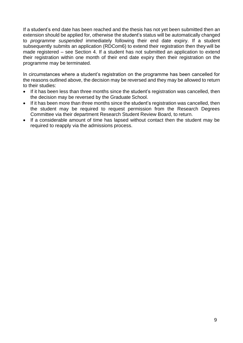If a student's end date has been reached and the thesis has not yet been submitted then an extension should be applied for, otherwise the student's status will be automatically changed to *programme suspended* immediately following their end date expiry. If a student subsequently submits an application (RDCom6) to extend their registration then they will be made registered – see Section 4. If a student has not submitted an application to extend their registration within one month of their end date expiry then their registration on the programme may be terminated.

In circumstances where a student's registration on the programme has been cancelled for the reasons outlined above, the decision may be reversed and they may be allowed to return to their studies:

- If it has been less than three months since the student's registration was cancelled, then the decision may be reversed by the Graduate School.
- If it has been more than three months since the student's registration was cancelled, then the student may be required to request permission from the Research Degrees Committee via their department Research Student Review Board, to return.
- If a considerable amount of time has lapsed without contact then the student may be required to reapply via the admissions process.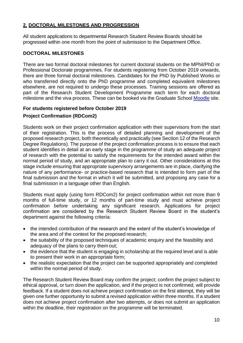# <span id="page-13-0"></span>**2. DOCTORAL MILESTONES AND PROGRESSION**

All student applications to departmental Research Student Review Boards should be progressed within one month from the point of submission to the Department Office.

#### <span id="page-13-1"></span>**DOCTORAL MILESTONES**

There are two formal doctoral milestones for current doctoral students on the MPhil/PhD or Professional Doctorate programmes. For students registering from October 2019 onwards, there are three formal doctoral milestones. Candidates for the PhD by Published Works or who transferred directly onto the PhD programme and completed equivalent milestones elsewhere, are not required to undergo these processes. Training sessions are offered as part of the Research Student Development Programme each term for each doctoral milestone and the viva process. These can be booked via the Graduate School [Moodle](https://moodle.roehampton.ac.uk/course/view.php?id=6553) site.

# <span id="page-13-3"></span><span id="page-13-2"></span>**For students registered before October 2019 Project Confirmation (RDCom2)**

Students work on their project confirmation application with their supervisors from the start of their registration. This is the process of detailed planning and development of the proposed research project, both theoretically and practically (see Section 12 of the Research Degree Regulations). The purpose of the project confirmation process is to ensure that each student identifies in detail at an early stage in the programme of study an adequate project of research with the potential to satisfy the requirements for the intended award within the normal period of study, and an appropriate plan to carry it out. Other considerations at this stage include ensuring that appropriate supervisory arrangements are in place, clarifying the nature of any performance- or practice-based research that is intended to form part of the final submission and the format in which it will be submitted, and proposing any case for a final submission in a language other than English.

Students must apply (using form RDCom2) for project confirmation within not more than 9 months of full-time study, or 12 months of part-time study and must achieve project confirmation before undertaking any significant research. Applications for project confirmation are considered by the Research Student Review Board in the student's department against the following criteria:

- the intended contribution of the research and the extent of the student's knowledge of the area and of the context for the proposed research;
- the suitability of the proposed techniques of academic enquiry and the feasibility and adequacy of the plans to carry them out;
- the evidence that the student is engaging in scholarship at the required level and is able to present their work in an appropriate form;
- the realistic expectation that the project can be supported appropriately and completed within the normal period of study.

The Research Student Review Board may confirm the project; confirm the project subject to ethical approval, or turn down the application, and if the project is not confirmed, will provide feedback. If a student does not achieve project confirmation on the first attempt, they will be given one further opportunity to submit a revised application within three months. If a student does not achieve project confirmation after two attempts, or does not submit an application within the deadline, their registration on the programme will be terminated.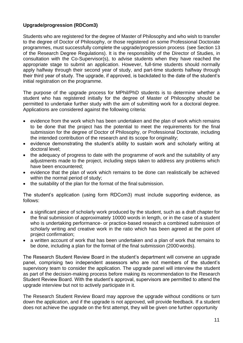# <span id="page-14-0"></span>**Upgrade/progression (RDCom3)**

Students who are registered for the degree of Master of Philosophy and who wish to transfer to the degree of Doctor of Philosophy, or those registered on some Professional Doctorate programmes, must successfully complete the upgrade/progression process (see Section 13 of the Research Degree Regulations). It is the responsibility of the Director of Studies, in consultation with the Co-Supervisor(s), to advise students when they have reached the appropriate stage to submit an application. However, full-time students should normally apply halfway through their second year of study, and part-time students halfway through their third year of study. The upgrade, if approved, is backdated to the date of the student's initial registration on the programme.

The purpose of the upgrade process for MPhil/PhD students is to determine whether a student who has registered initially for the degree of Master of Philosophy should be permitted to undertake further study with the aim of submitting work for a doctoral degree. Applications are considered against the following criteria:

- evidence from the work which has been undertaken and the plan of work which remains to be done that the project has the potential to meet the requirements for the final submission for the degree of Doctor of Philosophy, or Professional Doctorate, including the intended contribution of the research and its scope for originality;
- evidence demonstrating the student's ability to sustain work and scholarly writing at doctoral level;
- the adequacy of progress to date with the programme of work and the suitability of any adjustments made to the project, including steps taken to address any problems which have been encountered;
- evidence that the plan of work which remains to be done can realistically be achieved within the normal period of study;
- the suitability of the plan for the format of the final submission.

The student's application (using form RDCom3) must include supporting evidence, as follows:

- a significant piece of scholarly work produced by the student, such as a draft chapter for the final submission of approximately 10000 words in length, or in the case of a student who is undertaking performance- or practice-based research a combined submission of scholarly writing and creative work in the ratio which has been agreed at the point of project confirmation;
- a written account of work that has been undertaken and a plan of work that remains to be done, including a plan for the format of the final submission (2000 words).

The Research Student Review Board in the student's department will convene an upgrade panel, comprising two independent assessors who are not members of the student's supervisory team to consider the application. The upgrade panel will interview the student as part of the decision-making process before making its recommendation to the Research Student Review Board. With the student's approval, supervisors are permitted to attend the upgrade interview but not to actively participate in it.

The Research Student Review Board may approve the upgrade without conditions or turn down the application, and if the upgrade is not approved, will provide feedback. If a student does not achieve the upgrade on the first attempt, they will be given one further opportunity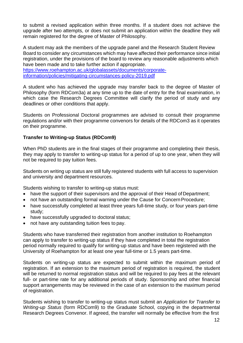to submit a revised application within three months. If a student does not achieve the upgrade after two attempts, or does not submit an application within the deadline they will remain registered for the degree of Master of Philosophy.

A student may ask the members of the upgrade panel and the Research Student Review Board to consider any circumstances which may have affected their performance since initial registration, under the provisions of the board to review any reasonable adjustments which have been made and to take further action if appropriate.

[https://www.roehampton.ac.uk/globalassets/documents/corporate](https://www.roehampton.ac.uk/globalassets/documents/corporate-information/policies/mitigating-circumstances-policy-2019.pdf)[information/policies/mitigating-circumstances-policy-2019.pdf](https://www.roehampton.ac.uk/globalassets/documents/corporate-information/policies/mitigating-circumstances-policy-2019.pdf)

A student who has achieved the upgrade may transfer back to the degree of Master of Philosophy (form RDCom3a) at any time up to the date of entry for the final examination, in which case the Research Degrees Committee will clarify the period of study and any deadlines or other conditions that apply.

Students on Professional Doctoral programmes are advised to consult their programme regulations and/or with their programme convenors for details of the RDCom3 as it operates on their programme.

# <span id="page-15-0"></span>**Transfer to Writing-up Status (RDCom9)**

When PhD students are in the final stages of their programme and completing their thesis, they may apply to transfer to writing-up status for a period of up to one year, when they will not be required to pay tuition fees.

Students on writing up status are still fully registered students with full access to supervision and university and department resources.

Students wishing to transfer to writing-up status must:

- have the support of their supervisors and the approval of their Head of Department;
- not have an outstanding formal warning under the Cause for Concern Procedure;
- have successfully completed at least three years full-time study, or four years part-time study;
- have successfully upgraded to doctoral status;
- not have any outstanding tuition fees to pay.

Students who have transferred their registration from another institution to Roehampton can apply to transfer to writing-up status if they have completed in total the registration period normally required to qualify for writing-up status and have been registered with the University of Roehampton for at least one year full-time or 1.5 years part-time.

Students on writing-up status are expected to submit within the maximum period of registration. If an extension to the maximum period of registration is required, the student will be returned to normal registration status and will be required to pay fees at the relevant full- or part-time rate for any additional periods of study. Sponsorship and other financial support arrangements may be reviewed in the case of an extension to the maximum period of registration.

Students wishing to transfer to writing-up status must submit an *Application for Transfer to Writing-up Status* (form RDCom9) to the Graduate School, copying in the departmental Research Degrees Convenor. If agreed, the transfer will normally be effective from the first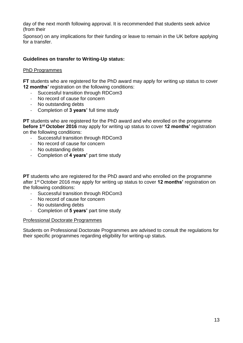day of the next month following approval. It is recommended that students seek advice (from their

Sponsor) on any implications for their funding or leave to remain in the UK before applying for a transfer.

# <span id="page-16-0"></span>**Guidelines on transfer to Writing-Up status:**

#### PhD Programmes

**FT** students who are registered for the PhD award may apply for writing up status to cover **12 months' registration on the following conditions:** 

- Successful transition through RDCom3
- No record of cause for concern
- No outstanding debts
- Completion of **3 years'** full time study

**PT** students who are registered for the PhD award and who enrolled on the programme **before 1st October 2016** may apply for writing up status to cover **12 months'** registration on the following conditions:

- Successful transition through RDCom3
- No record of cause for concern
- No outstanding debts
- Completion of **4 years'** part time study

**PT** students who are registered for the PhD award and who enrolled on the programme after 1st October 2016 may apply for writing up status to cover **12 months'** registration on the following conditions:

- Successful transition through RDCom3<br>- No record of cause for concern
- No record of cause for concern
- No outstanding debts
- Completion of **5 years'** part time study

#### Professional Doctorate Programmes

Students on Professional Doctorate Programmes are advised to consult the regulations for their specific programmes regarding eligibility for writing-up status.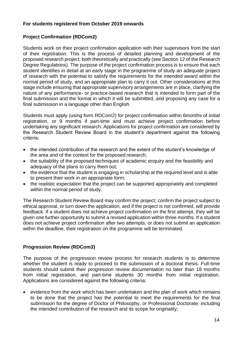#### <span id="page-17-0"></span>**For students registered from October 2019 onwards**

# <span id="page-17-1"></span>**Project Confirmation (RDCom2)**

Students work on their project confirmation application with their supervisors from the start of their registration. This is the process of detailed planning and development of the proposed research project, both theoretically and practically (see Section 12 of the Research Degree Regulations). The purpose of the project confirmation process is to ensure that each student identifies in detail at an early stage in the programme of study an adequate project of research with the potential to satisfy the requirements for the intended award within the normal period of study, and an appropriate plan to carry it out. Other considerations at this stage include ensuring that appropriate supervisory arrangements are in place, clarifying the nature of any performance- or practice-based research that is intended to form part of the final submission and the format in which it will be submitted, and proposing any case for a final submission in a language other than English.

Students must apply (using form RDCom2) for project confirmation within 6months of initial registration, or 9 months if part-time and must achieve project confirmation before undertaking any significant research. Applications for project confirmation are considered by the Research Student Review Board in the student's department against the following criteria:

- the intended contribution of the research and the extent of the student's knowledge of the area and of the context for the proposed research;
- the suitability of the proposed techniques of academic enquiry and the feasibility and adequacy of the plans to carry them out;
- the evidence that the student is engaging in scholarship at the required level and is able to present their work in an appropriate form;
- the realistic expectation that the project can be supported appropriately and completed within the normal period of study.

The Research Student Review Board may confirm the project; confirm the project subject to ethical approval, or turn down the application, and if the project is not confirmed, will provide feedback. If a student does not achieve project confirmation on the first attempt, they will be given one further opportunity to submit a revised application within three months. If a student does not achieve project confirmation after two attempts, or does not submit an application within the deadline, their registration on the programme will be terminated.

# <span id="page-17-2"></span>**Progression Review (RDCom3)**

The purpose of the progression review process for research students is to determine whether the student is ready to proceed to the submission of a doctoral thesis. Full-time students should submit their progression review documentation no later than 18 months from initial registration, and part-time students 30 months from initial registration. Applications are considered against the following criteria:

• evidence from the work which has been undertaken and the plan of work which remains to be done that the project has the potential to meet the requirements for the final submission for the degree of Doctor of Philosophy, or Professional Doctorate, including the intended contribution of the research and its scope for originality;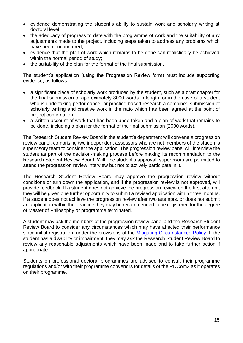- evidence demonstrating the student's ability to sustain work and scholarly writing at doctoral level;
- the adequacy of progress to date with the programme of work and the suitability of any adjustments made to the project, including steps taken to address any problems which have been encountered;
- evidence that the plan of work which remains to be done can realistically be achieved within the normal period of study;
- the suitability of the plan for the format of the final submission.

The student's application (using the Progression Review form) must include supporting evidence, as follows:

- a significant piece of scholarly work produced by the student, such as a draft chapter for the final submission of approximately 8000 words in length, or in the case of a student who is undertaking performance- or practice-based research a combined submission of scholarly writing and creative work in the ratio which has been agreed at the point of project confirmation;
- a written account of work that has been undertaken and a plan of work that remains to be done, including a plan for the format of the final submission (2000 words).

The Research Student Review Board in the student's department will convene a progression review panel, comprising two independent assessors who are not members of the student's supervisory team to consider the application. The progression review panel will interview the student as part of the decision-making process before making its recommendation to the Research Student Review Board. With the student's approval, supervisors are permitted to attend the progression review interview but not to actively participate in it.

The Research Student Review Board may approve the progression review without conditions or turn down the application, and if the progression review is not approved, will provide feedback. If a student does not achieve the progression review on the first attempt, they will be given one further opportunity to submit a revised application within three months. If a student does not achieve the progression review after two attempts, or does not submit an application within the deadline they may be recommended to be registered for the degree of Master of Philosophy or programme terminated.

A student may ask the members of the progression review panel and the Research Student Review Board to consider any circumstances which may have affected their performance since initial registration, under the provisions of the [Mitigating Circumstances Policy.](https://www.roehampton.ac.uk/globalassets/documents/corporate-information/policies/mitigating-circumstances-policy-2019.pdf) If the student has a disability or impairment, they may ask the Research Student Review Board to review any reasonable adjustments which have been made and to take further action if appropriate.

Students on professional doctoral programmes are advised to consult their programme regulations and/or with their programme convenors for details of the RDCom3 as it operates on their programme.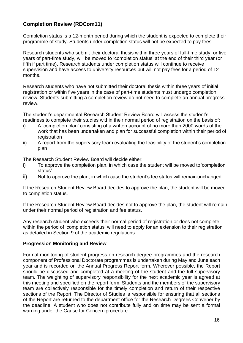# **Completion Review (RDCom11)**

Completion status is a 12-month period during which the student is expected to complete their programme of study. Students under completion status will not be expected to pay fees.

Research students who submit their doctoral thesis within three years of full-time study, or five years of part-time study, will be moved to 'completion status' at the end of their third year (or fifth if part time). Research students under completion status will continue to receive supervision and have access to university resources but will not pay fees for a period of 12 months.

Research students who have not submitted their doctoral thesis within three years of initial registration or within five years in the case of part-time students must undergo completion review. Students submitting a completion review do not need to complete an annual progress review.

The student's departmental Research Student Review Board will assess the student's readiness to complete their studies within their normal period of registration on the basis of:

- i) A 'completion plan' consisting of a written account of no more than 2000 words of the work that has been undertaken and plan for successful completion within their period of registration
- ii) A report from the supervisory team evaluating the feasibility of the student's completion plan

The Research Student Review Board will decide either:

- i) To approve the completion plan, in which case the student will be moved to'completion status'
- ii) Not to approve the plan, in which case the student's fee status will remain unchanged.

If the Research Student Review Board decides to approve the plan, the student will be moved to completion status.

If the Research Student Review Board decides not to approve the plan, the student will remain under their normal period of registration and fee status.

Any research student who exceeds their normal period of registration or does not complete within the period of 'completion status' will need to apply for an extension to their registration as detailed in Section 9 of the academic regulations.

#### <span id="page-19-0"></span>**Progression Monitoring and Review**

Formal monitoring of student progress on research degree programmes and the research component of Professional Doctorate programmes is undertaken during May and June each year and is recorded on the Annual Progress Report form. Wherever possible, the Report should be discussed and completed at a meeting of the student and the full supervisory team. The weighting of supervisory responsibility for the next academic year is agreed at this meeting and specified on the report form. Students and the members of the supervisory team are collectively responsible for the timely completion and return of their respective sections of the Report. The Director of Studies is responsible for ensuring that all sections of the Report are returned to the department office for the Research Degrees Convener by the deadline. A student who does not contribute fully and on time may be sent a formal warning under the Cause for Concern procedure.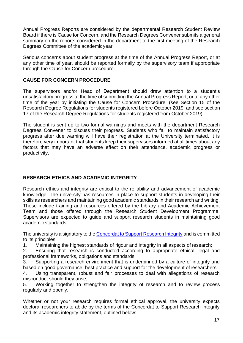Annual Progress Reports are considered by the departmental Research Student Review Board if there is Cause for Concern, and the Research Degrees Convener submits a general summary on the reports considered in the department to the first meeting of the Research Degrees Committee of the academicyear.

Serious concerns about student progress at the time of the Annual Progress Report, or at any other time of year, should be reported formally by the supervisory team if appropriate through the Cause for Concern procedure.

#### <span id="page-20-0"></span>**CAUSE FOR CONCERN PROCEDURE**

The supervisors and/or Head of Department should draw attention to a student's unsatisfactory progress at the time of submitting the Annual Progress Report, or at any other time of the year by initiating the Cause for Concern Procedure. (see Section 15 of the Research Degree Regulations for students registered before October 2019, and see section 17 of the Research Degree Regulations for students registered from October 2019).

The student is sent up to two formal warnings and meets with the department Research Degrees Convener to discuss their progress. Students who fail to maintain satisfactory progress after due warning will have their registration at the University terminated. It is therefore very important that students keep their supervisors informed at all times about any factors that may have an adverse effect on their attendance, academic progress or productivity.

# <span id="page-20-1"></span>**RESEARCH ETHICS AND ACADEMIC INTEGRITY**

Research ethics and integrity are critical to the reliability and advancement of academic knowledge. The university has resources in place to support students in developing their skills as researchers and maintaining good academic standards in their research and writing. These include training and resources offered by the Library and Academic Achievement Team and those offered through the Research Student Development Programme. Supervisors are expected to guide and support research students in maintaining good academic standards.

The university is a signatory to the [Concordat](https://www.universitiesuk.ac.uk/policy-and-analysis/reports/Documents/2019/the-concordat-to-support-research-integrity.pdf) to Support Research Integrity and is committed to its principles:

1. Maintaining the highest standards of rigour and integrity in all aspects of research;

2. Ensuring that research is conducted according to appropriate ethical, legal and professional frameworks, obligations and standards;

3. Supporting a research environment that is underpinned by a culture of integrity and based on good governance, best practice and support for the development ofresearchers;

4. Using transparent, robust and fair processes to deal with allegations of research misconduct should they arise;

5. Working together to strengthen the integrity of research and to review process regularly and openly.

Whether or not your research requires formal ethical approval, the university expects doctoral researchers to abide by the terms of the Concordat to Support Research Integrity and its academic integrity statement, outlined below: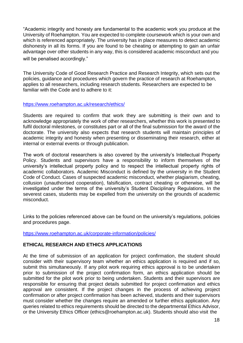"Academic integrity and honesty are fundamental to the academic work you produce at the University of Roehampton. You are expected to complete coursework which is your own and which is referenced appropriately. The university has in place measures to detect academic dishonesty in all its forms. If you are found to be cheating or attempting to gain an unfair advantage over other students in any way, this is considered academic misconduct and you will be penalised accordingly."

The University Code of Good Research Practice and Research Integrity, which sets out the policies, guidance and procedures which govern the practice of research at Roehampton, applies to all researchers, including research students. Researchers are expected to be familiar with the Code and to adhere to it:

#### <https://www.roehampton.ac.uk/research/ethics/>

Students are required to confirm that work they are submitting is their own and to acknowledge appropriately the work of other researchers, whether this work is presented to fulfil doctoral milestones, or constitutes part or all of the final submission for the award of the doctorate. The university also expects that research students will maintain principles of academic integrity and honesty when presenting or disseminating their research, either at internal or external events or through publication.

The work of doctoral researchers is also covered by the university's Intellectual Property Policy. Students and supervisors have a responsibility to inform themselves of the university's intellectual property policy and to respect the intellectual property rights of academic collaborators. Academic Misconduct is defined by the university in the Student Code of Conduct. Cases of suspected academic misconduct, whether plagiarism, cheating, collusion (unauthorised cooperation), falsification, contract cheating or otherwise, will be investigated under the terms of the university's Student Disciplinary Regulations. In the severest cases, students may be expelled from the university on the grounds of academic misconduct.

Links to the policies referenced above can be found on the university's regulations, policies and procedures page.

<https://www.roehampton.ac.uk/corporate-information/policies/>

#### <span id="page-21-0"></span>**ETHICAL RESEARCH AND ETHICS APPLICATIONS**

At the time of submission of an application for project confirmation, the student should consider with their supervisory team whether an ethics application is required and if so, submit this simultaneously. If any pilot work requiring ethics approval is to be undertaken prior to submission of the project confirmation form, an ethics application should be submitted for the pilot work prior to being undertaken. Students and their supervisors are responsible for ensuring that project details submitted for project confirmation and ethics approval are consistent. If the project changes in the process of achieving project confirmation or after project confirmation has been achieved, students and their supervisors must consider whether the changes require an amended or further ethics application. Any queries related to ethics requirements should be directed to the departmental Ethics Advisor, or the University Ethics Officer (ethics@roehampton.ac.uk). Students should also visit the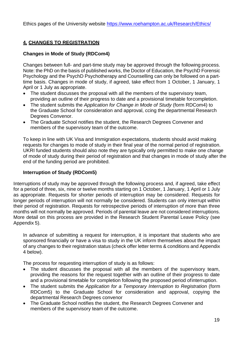Ethics pages of the University website<https://www.roehampton.ac.uk/Research/Ethics/>

# <span id="page-22-0"></span>**4. CHANGES TO REGISTRATION**

# <span id="page-22-1"></span>**Changes in Mode of Study (RDCom4)**

Changes between full- and part-time study may be approved through the following process. Note: the PhD on the basis of published works, the Doctor of Education, the PsychD Forensic Psychology and the PsychD Psychotherapy and Counselling can only be followed on a parttime basis. Changes in mode of study, if agreed, take effect from 1 October, 1 January, 1 April or 1 July as appropriate.

- The student discusses the proposal with all the members of the supervisory team, providing an outline of their progress to date and a provisional timetable forcompletion.
- The student submits the *Application for Change in Mode of Study* (form RDCom4) to the Graduate School for consideration and approval, ccing the departmental Research Degrees Convenor.
- The Graduate School notifies the student, the Research Degrees Convener and members of the supervisory team of the outcome.

To keep in line with UK Visa and Immigration expectations, students should avoid making requests for changes to mode of study in their final year of the normal period of registration. UKRI funded students should also note they are typically only permitted to make one change of mode of study during their period of registration and that changes in mode of study after the end of the funding period are prohibited.

# **Interruption of Study (RDCom5)**

<span id="page-22-2"></span>Interruptions of study may be approved through the following process and, if agreed, take effect for a period of three, six, nine or twelve months starting on 1 October, 1 January, 1 April or 1 July as appropriate. Requests for shorter periods of interruption may be considered. Requests for longer periods of interruption will not normally be considered. Students can only interrupt within their period of registration. Requests for retrospective periods of interruption of more than three months will not normally be approved. Periods of parental leave are not considered interruptions. More detail on this process are provided in the Research Student Parental Leave Policy (see Appendix 5).

In advance of submitting a request for interruption, it is important that students who are sponsored financially or have a visa to study in the UK inform themselves about the impact of any changes to their registration status (check offer letter terms & conditions and Appendix 4 below).

The process for requesting interruption of study is as follows:

- The student discusses the proposal with all the members of the supervisory team, providing the reasons for the request together with an outline of their progress to date and a provisional timetable for completion following the proposed period ofinterruption.
- The student submits the *Application for a Temporary Interruption to Registration* (form RDCom5) to the Graduate School for consideration and approval, copying the departmental Research Degrees convenor
- The Graduate School notifies the student, the Research Degrees Convener and members of the supervisory team of the outcome.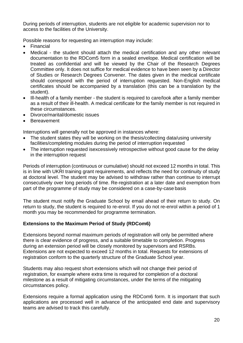During periods of interruption, students are not eligible for academic supervision nor to access to the facilities of the University.

Possible reasons for requesting an interruption may include:

- Financial
- Medical the student should attach the medical certification and any other relevant documentation to the RDCom5 form in a sealed envelope. Medical certification will be treated as confidential and will be viewed by the Chair of the Research Degrees Committee only. It does not suffice for medical evidence to have been seen by a Director of Studies or Research Degrees Convener. The dates given in the medical certificate should correspond with the period of interruption requested. Non-English medical certificates should be accompanied by a translation (this can be a translation by the student).
- Ill-health of a family member the student is required to care/look after a family member as a result of their ill-health. A medical certificate for the family member is not required in these circumstances.
- Divorce/marital/domestic issues
- Bereavement

Interruptions will generally not be approved in instances where:

- The student states they will be working on the thesis/collecting data/using university facilities/completing modules during the period of interruption requested
- The interruption requested isexcessively retrospective without good cause for the delay in the interruption request

Periods of interruption (continuous or cumulative) should not exceed 12 months in total. This is in line with UKRI training grant requirements, and reflects the need for continuity of study at doctoral level. The student may be advised to withdraw rather than continue to interrupt consecutively over long periods of time. Re-registration at a later date and exemption from part of the programme of study may be considered on a case-by-case basis

The student must notify the Graduate School by email ahead of their return to study. On return to study, the student is required to re-enrol. If you do not re-enrol within a period of 1 month you may be recommended for programme termination.

# <span id="page-23-0"></span>**Extensions to the Maximum Period of Study (RDCom6)**

Extensions beyond normal maximum periods of registration will only be permitted where there is clear evidence of progress, and a suitable timetable to completion. Progress during an extension period will be closely monitored by supervisors and RSRBs. Extensions are not expected to exceed 12 months in total. Requests for extensions of registration conform to the quarterly structure of the Graduate School year.

Students may also request short extensions which will not change their period of registration, for example where extra time is required for completion of a doctoral milestone as a result of mitigating circumstances, under the terms of the mitigating circumstances policy.

Extensions require a formal application using the RDCom6 form. It is important that such applications are processed well in advance of the anticipated end date and supervisory teams are advised to track this carefully.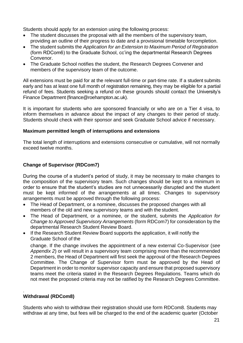Students should apply for an extension using the following process:

- The student discusses the proposal with all the members of the supervisory team, providing an outline of their progress to date and a provisional timetable forcompletion.
- The student submits the *Application for an Extension to Maximum Period of Registration*  (form RDCom6) to the Graduate School, cc'ing the departmental Research Degrees Convenor.
- The Graduate School notifies the student, the Research Degrees Convener and members of the supervisory team of the outcome.

All extensions must be paid for at the relevant full-time or part-time rate. If a student submits early and has at least one full month of registration remaining, they may be eligible for a partial refund of fees. Students seeking a refund on these grounds should contact the University's Finance Department (finance@roehampton.ac.uk).

It is important for students who are sponsored financially or who are on a Tier 4 visa, to inform themselves in advance about the impact of any changes to their period of study. Students should check with their sponsor and seek Graduate School advice if necessary.

#### **Maximum permitted length of interruptions and extensions**

The total length of interruptions and extensions consecutive or cumulative, will not normally exceed twelve months.

# <span id="page-24-0"></span>**Change of Supervisor (RDCom7)**

During the course of a student's period of study, it may be necessary to make changes to the composition of the supervisory team. Such changes should be kept to a minimum in order to ensure that the student's studies are not unnecessarily disrupted and the student must be kept informed of the arrangements at all times. Changes to supervisory arrangements must be approved through the following process:

- The Head of Department, or a nominee, discusses the proposed changes with all members of the old and new supervisory teams and with the student.
- The Head of Department, or a nominee, or the student, submits the *Application for Change to Approved Supervisory Arrangements* (form RDCom7) for consideration by the departmental Research Student Review Board.
- If the Research Student Review Board supports the application, it will notify the Graduate School of the

change. If the change involves the appointment of a new external Co-Supervisor (*see Appendix 2*) or will result in a supervisory team comprising more than the recommended 2 members, the Head of Department will first seek the approval of the Research Degrees Committee. The Change of Supervisor form must be approved by the Head of Department in order to monitor supervisor capacity and ensure that proposed supervisory teams meet the criteria stated in the Research Degrees Regulations. Teams which do not meet the proposed criteria may not be ratified by the Research Degrees Committee.

#### <span id="page-24-1"></span>. **Withdrawal (RDCom8)**

Students who wish to withdraw their registration should use form RDCom8. Students may withdraw at any time, but fees will be charged to the end of the academic quarter (October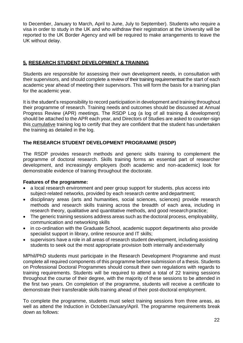to December, January to March, April to June, July to September). Students who require a visa in order to study in the UK and who withdraw their registration at the University will be reported to the UK Border Agency and will be required to make arrangements to leave the UK without delay.

# <span id="page-25-0"></span>**5. RESEARCH STUDENT DEVELOPMENT & TRAINING**

Students are responsible for assessing their own development needs, in consultation with their supervisors, and should complete a review of their training requirementsat the start of each academic year ahead of meeting their supervisors. This will form the basis for a training plan for the academic year.

It is the student's responsibility to record participation in development and training throughout their programme of research. Training needs and outcomes should be discussed at Annual Progress Review (APR) meetings. The RSDP Log (a log of all training & development) should be attached to the APR each year, and Directors of Studies are asked to counter-sign this cumulative training log to certify that they are confident that the student has undertaken the training as detailed in the log.

# <span id="page-25-1"></span>**The RESEARCH STUDENT DEVELOPMENT PROGRAMME (RSDP)**

The RSDP provides research methods and generic skills training to complement the programme of doctoral research. Skills training forms an essential part of researcher development, and increasingly employers (both academic and non-academic) look for demonstrable evidence of training throughout the doctorate.

# <span id="page-25-2"></span>**Features of the programme:**

- a local research environment and peer group support for students, plus access into subject-related networks, provided by each research centre and department;
- disciplinary areas (arts and humanities, social sciences, sciences) provide research methods and research skills training across the breadth of each area, including in research theory, qualitative and quantitative methods, and good research practice;
- The generic training sessions address areas such as the doctoral process, employability, communication and networking skills
- in co-ordination with the Graduate School, academic support departments also provide specialist support in library, online resource and IT skills;
- supervisors have a role in all areas of research student development, including assisting students to seek out the most appropriate provision both internally and externally

MPhil/PhD students must participate in the Research Development Programme and must complete all required components of this programme before submission of a thesis. Students on Professional Doctoral Programmes should consult their own regulations with regards to training requirements. Students will be required to attend a total of 22 training sessions throughout the course of their degree, with the majority of these sessions to be attended in the first two years. On completion of the programme, students will receive a certificate to demonstrate their transferable skills training ahead of their post-doctoral employment.

To complete the programme, students must select training sessions from three areas, as well as attend the Induction in October/January/April. The programme requirements break down as follows: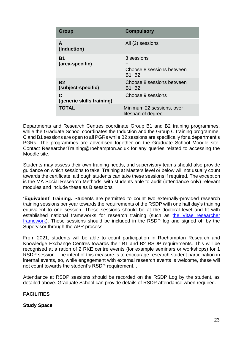| Group                           | <b>Compulsory</b>                                         |
|---------------------------------|-----------------------------------------------------------|
| A<br>(Induction)                | All (2) sessions                                          |
| Β1<br>(area-specific)           | 3 sessions<br>÷<br>Choose 8 sessions between<br>$B1 + B2$ |
| <b>B2</b><br>(subject-specific) | Choose 8 sessions between<br>B1+B2                        |
| C<br>(generic skills training)  | Choose 9 sessions                                         |
| <b>TOTAL</b>                    | Minimum 22 sessions, over<br>lifespan of degree           |

Departments and Research Centres coordinate Group B1 and B2 training programmes, while the Graduate School coordinates the Induction and the Group C training programme. C and B1 sessions are open to all PGRs while B2 sessions are specifically for a department's PGRs. The programmes are advertised together on the Graduate School Moodle site. Contact [ResearcherTraining@roehampton.ac.uk f](mailto:ResearcherTraining@roehampton.ac.uk)or any queries related to accessing the Moodle site.

Students may assess their own training needs, and supervisory teams should also provide guidance on which sessions to take. Training at Masters level or below will not usually count towards the certificate, although students can take these sessions if required. The exception is the MA Social Research Methods, with students able to audit (attendance only) relevant modules and include these as B sessions

**'Equivalent' training.** Students are permitted to count two externally-provided research training sessions per year towards the requirements of the RSDP with one half day's training equivalent to one session. These sessions should be at the doctoral level and fit with established national frameworks for research training (such as [the Vitae researcher](https://www.vitae.ac.uk/researchers-professional-development/about-the-vitae-researcher-development-framework/developers-trainers-careers-and-hr-advisors-and-the-vitae-researcher-development-framework) [framework\)](https://www.vitae.ac.uk/). These sessions should be included in the RSDP log and signed off by the Supervisor through the APR process.

From 2021, students will be able to count participation in Roehampton Research and Knowledge Exchange Centres towards their B1 and B2 RSDP requirements. This will be recognised at a ration of 2 RKE centre events (for example seminars or workshops) for 1 RSDP session. The intent of this measure is to encourage research student participation in internal events, so, while engagement with external research events is welcome, these will not count towards the student's RSDP requirement. .

Attendance at RSDP sessions should be recorded on the RSDP Log by the student, as detailed above. Graduate School can provide details of RSDP attendance when required.

# <span id="page-26-0"></span>**FACILITIES**

# <span id="page-26-1"></span>**Study Space**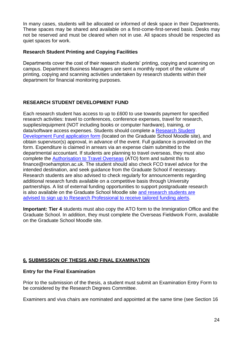In many cases, students will be allocated or informed of desk space in their Departments. These spaces may be shared and available on a first-come-first-served basis. Desks may not be reserved and must be cleared when not in use. All spaces should be respected as quiet spaces for work.

#### <span id="page-27-0"></span>**Research Student Printing and Copying Facilities**

Departments cover the cost of their research students' printing, copying and scanning on campus. Department Business Managers are sent a monthly report of the volume of printing, copying and scanning activities undertaken by research students within their department for financial monitoring purposes.

# <span id="page-27-1"></span>**RESEARCH STUDENT DEVELOPMENT FUND**

Each research student has access to up to £600 to use towards payment for specified research activities: travel to conferences, conference expenses, travel for research, supplies/equipment (NOT including books or computer hardware), training, or data/software access expenses. Students should complete a Research Student Development Fund application form (located on the Graduate School Moodle site), and obtain supervisor(s) approval, in advance of the event. Full guidance is provided on the form. Expenditure is claimed in arrears via an expense claim submitted to the departmental accountant. If students are planning to travel overseas, they must also complete the Authorisation to Travel Overseas (ATO) form and submit this to [finance@roehampton.ac.uk. T](mailto:finance@roehampton.ac.uk)he student should also check FCO travel advice for the intended destination, and seek guidance from the Graduate School if necessary. Research students are also advised to check regularly for announcements regarding additional research funds available on a competitive basis through University partnerships. A list of external funding opportunities to support postgraduate research is also available on the Graduate School Moodle site and research students are advised to sign up to Research Professional to receive tailored funding alerts.

**Important: Tier 4** students must also copy the ATO form to the Immigration Office and the Graduate School. In addition, they must complete the Overseas Fieldwork Form, available on the Graduate School Moodle site.

# <span id="page-27-2"></span>**6. SUBMISSION OF THESIS AND FINAL EXAMINATION**

# <span id="page-27-3"></span>**Entry for the Final Examination**

Prior to the submission of the thesis, a student must submit an Examination Entry Form to be considered by the Research Degrees Committee.

Examiners and viva chairs are nominated and appointed at the same time (see Section 16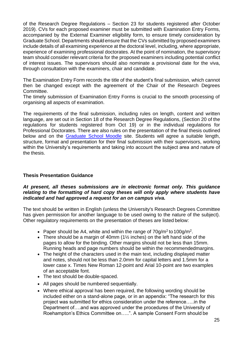of the Research Degree Regulations – Section 23 for students registered after October 2019). CVs for each proposed examiner must be submitted with Examination Entry Forms, accompanied by the External Examiner eligibility form, to ensure timely consideration by Graduate School. Departments should ensure that the CVs submitted by proposed examiners include details of all examining experience at the doctoral level, including, where appropriate, experience of examining professional doctorates. At the point of nomination, the supervisory team should consider relevant criteria for the proposed examiners including potential conflict of interest issues. The supervisors should also nominate a provisional date for the viva, through consultation with the examiners, chair and candidate.

The Examination Entry Form records the title of the student's final submission, which cannot then be changed except with the agreement of the Chair of the Research Degrees Committee.

The timely submission of Examination Entry Forms is crucial to the smooth processing of organising all aspects of examination.

The requirements of the final submission, including rules on length, content and written language, are set out in Section 18 of the Research Degree Regulations, (Section 20 of the regulations for students registered from Oct 19) or in the individual regulations for Professional Doctorates. There are also rules on the presentation of the final thesis outlined below and on the **Graduate School Moodle** site. Students will agree a suitable length, structure, format and presentation for their final submission with their supervisors, working within the University's requirements and taking into account the subject area and nature of the thesis.

# <span id="page-28-0"></span>**Thesis Presentation Guidance**

#### *At present, all theses submissions are in electronic format only. This guidance relating to the formatting of hard copy theses will only apply where students have indicated and had approved a request for an on campus viva.*

The text should be written in English (unless the University's Research Degrees Committee has given permission for another language to be used owing to the nature of the subject). Other regulatory requirements on the presentation of theses are listed below:

- Paper should be A4, white and within the range of  $70$ g/m<sup>2</sup> to 100g/m<sup>2</sup>.
- There should be a margin of 40mm  $(1\frac{1}{2})$  inches) on the left hand side of the pages to allow for the binding. Other margins should not be less than 15mm. Running heads and page numbers should be within the recommendedmargins.
- The height of the characters used in the main text, including displayed matter and notes, should not be less than 2.0mm for capital letters and 1.5mm for a lower case x. Times New Roman 12-point and Arial 10-point are two examples of an acceptable font.
- The text should be double-spaced.
- All pages should be numbered sequentially.
- Where ethical approval has been required, the following wording should be included either on a stand-alone page, or in an appendix: "The research for this project was submitted for ethics consideration under the reference…..in the Department of….and was approved under the procedures of the University of Roehampton's Ethics Committee on…..". A sample Consent Form should be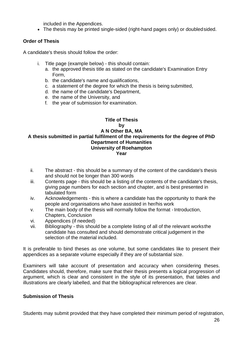included in the Appendices.

The thesis may be printed single-sided (right-hand pages only) or doubledsided.

# <span id="page-29-0"></span>**Order of Thesis**

A candidate's thesis should follow the order:

- i. Title page (example below) this should contain:
	- a. the approved thesis title as stated on the candidate's Examination Entry Form,
	- b. the candidate's name and qualifications,
	- c. a statement of the degree for which the thesis is being submitted,
	- d. the name of the candidate's Department,
	- e. the name of the University, and
	- f. the year of submission for examination.

#### <span id="page-29-1"></span>**Title of Thesis by A N Other BA, MA A thesis submitted in partial fulfilment of the requirements for the degree of PhD Department of Humanities University of Roehampton Year**

- ii. The abstract this should be a summary of the content of the candidate's thesis and should not be longer than 300 words
- iii. Contents page this should be a listing of the contents of the candidate's thesis, giving page numbers for each section and chapter, and is best presented in tabulated form
- iv. Acknowledgements this is where a candidate has the opportunity to thank the people and organisations who have assisted in her/his work
- v. The main body of the thesis will normally follow the format -Introduction, Chapters, Conclusion
- vi. Appendices (if needed)
- vii. Bibliography this should be a complete listing of all of the relevant worksthe candidate has consulted and should demonstrate critical judgement in the selection of the material included.

It is preferable to bind theses as one volume, but some candidates like to present their appendices as a separate volume especially if they are of substantial size.

Examiners will take account of presentation and accuracy when considering theses. Candidates should, therefore, make sure that their thesis presents a logical progression of argument, which is clear and consistent in the style of its presentation, that tables and illustrations are clearly labelled, and that the bibliographical references are clear.

# <span id="page-29-2"></span>**Submission of Thesis**

Students may submit provided that they have completed their minimum period of registration,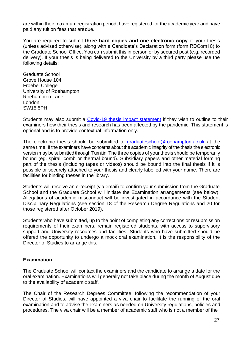are within their maximum registration period, have registered for the academic year and have paid any tuition fees that aredue.

You are required to submit **three hard copies and one electronic copy** of your thesis (unless advised otherwise), along with a Candidate's Declaration form (form RDCom10) to the Graduate School Office. You can submit this in person or by secured post (e.g. recorded delivery). If your thesis is being delivered to the University by a third party please use the following details:

Graduate School Grove House 104 Froebel College University of Roehampton Roehampton Lane London SW15 5PH

Students may also submit a [Covid-19 thesis impact statement](https://www.roehampton.ac.uk/graduate-school/current-students/) if they wish to outline to their examiners how their thesis and research has been affected by the pandemic. This statement is optional and is to provide contextual information only.

The electronic thesis should be submitted to [graduateschool@roehampton.ac.uk](mailto:graduateschool@roehampton.ac.uk) at the same time. If the examiners have concerns about the academic integrity of the thesis the electronic version may be submitted through Turnitin. The three copies of your thesis should be temporarily bound (eg. spiral, comb or thermal bound). Subsidiary papers and other material forming part of the thesis (including tapes or videos) should be bound into the final thesis if it is possible or securely attached to your thesis and clearly labelled with your name. There are facilities for binding theses in the library.

Students will receive an e-receipt (via email) to confirm your submission from the Graduate School and the Graduate School will initiate the Examination arrangements (see below). Allegations of academic misconduct will be investigated in accordance with the Student Disciplinary Regulations (see section 18 of the Research Degree Regulations and 20 for those registered after October 2019).

Students who have submitted, up to the point of completing any corrections or resubmission requirements of their examiners, remain registered students, with access to supervisory support and University resources and facilities. Students who have submitted should be offered the opportunity to undergo a mock oral examination. It is the responsibility of the Director of Studies to arrange this.

#### <span id="page-30-0"></span>**Examination**

The Graduate School will contact the examiners and the candidate to arrange a date for the oral examination. Examinations will generally not take place during the month of August due to the availability of academic staff.

The Chair of the Research Degrees Committee, following the recommendation of your Director of Studies, will have appointed a viva chair to facilitate the running of the oral examination and to advise the examiners as needed on University regulations, policies and procedures. The viva chair will be a member of academic staff who is not a member of the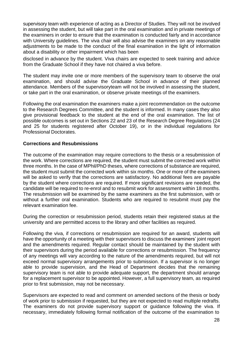supervisory team with experience of acting as a Director of Studies. They will not be involved in assessing the student, but will take part in the oral examination and in private meetings of the examiners in order to ensure that the examination is conducted fairly and in accordance with University guidelines. The viva chair will also advise the examiners on any reasonable adjustments to be made to the conduct of the final examination in the light of information about a disability or other impairment which has been

disclosed in advance by the student. Viva chairs are expected to seek training and advice from the Graduate School if they have not chaired a viva before.

The student may invite one or more members of the supervisory team to observe the oral examination, and should advise the Graduate School in advance of their planned attendance. Members of the supervisoryteam will not be involved in assessing the student, or take part in the oral examination, or observe private meetings of the examiners.

Following the oral examination the examiners make a joint recommendation on the outcome to the Research Degrees Committee, and the student is informed. In many cases they also give provisional feedback to the student at the end of the oral examination. The list of possible outcomes is set out in Sections 22 and 23 of the Research Degree Regulations (24 and 25 for students registered after October 19), or in the individual regulations for Professional Doctorates.

#### <span id="page-31-0"></span>**Corrections and Resubmissions**

The outcome of the examination may require corrections to the thesis or a resubmission of the work. Where corrections are required, the student must submit the corrected work within three months. In the case of MPhil/PhD theses, where corrections of substance are required, the student must submit the corrected work within six months. One or more of the examiners will be asked to verify that the corrections are satisfactory. No additional fees are payable by the student where corrections are required. If more significant revisions are needed, the candidate will be required to re-enrol and to resubmit work for assessment within 18 months. The resubmission will be examined by the same examiners as the first submission, with or without a further oral examination. Students who are required to resubmit must pay the relevant examination fee.

During the correction or resubmission period, students retain their registered status at the university and are permitted access to the library and other facilities as required.

Following the viva, if corrections or resubmission are required for an award, students will have the opportunity of a meeting with their supervisors to discuss the examiners' joint report and the amendments required. Regular contact should be maintained by the student with their supervisors during the period available for corrections or resubmission. The frequency of any meetings will vary according to the nature of the amendments required, but will not exceed normal supervisory arrangements prior to submission. If a supervisor is no longer able to provide supervision, and the Head of Department decides that the remaining supervisory team is not able to provide adequate support, the department should arrange for a replacement supervisor to be appointed. However, a full supervisory team, as required prior to first submission, may not be necessary.

Supervisors are expected to read and comment on amended sections of the thesis or body of work prior to submission if requested, but they are not expected to read multiple redrafts. The examiners do not provide supervisory support or guidance following the viva. If necessary, immediately following formal notification of the outcome of the examination to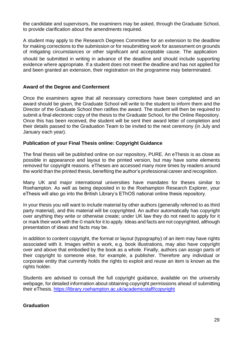the candidate and supervisors, the examiners may be asked, through the Graduate School, to provide clarification about the amendments required.

A student may apply to the Research Degrees Committee for an extension to the deadline for making corrections to the submission or for resubmitting work for assessment on grounds of mitigating circumstances or other significant and acceptable cause. The application should be submitted in writing in advance of the deadline and should include supporting evidence where appropriate. If a student does not meet the deadline and has not applied for and been granted an extension, their registration on the programme may beterminated.

#### <span id="page-32-0"></span>**Award of the Degree and Conferment**

Once the examiners agree that all necessary corrections have been completed and an award should be given, the Graduate School will write to the student to inform them and the Director of the Graduate School then ratifies the award. The student will then be required to submit a final electronic copy of the thesis to the Graduate School, for the Online Repository. Once this has been received, the student will be sent their award letter of completion and their details passed to the Graduation Team to be invited to the next ceremony (in July and January each year).

#### <span id="page-32-1"></span>**Publication of your Final Thesis online: Copyright Guidance**

The final thesis will be published online on our repository, PURE. An eThesis is as close as possible in appearance and layout to the printed version, but may have some elements removed for copyright reasons. eTheses are accessed many more times by readers around the world than the printed thesis, benefiting the author's professional career and recognition.

Many UK and major international universities have mandates for theses similar to Roehampton. As well as being deposited in to the Roehampton Research Explorer, your eThesis will also go into the British Library's EThOS national online thesis repository.

In your thesis you will want to include material by other authors (generally referred to as third party material), and this material will be copyrighted. An author automatically has copyright over anything they write or otherwise create; under UK law they do not need to apply for it or mark their work with the © mark for it to apply. Ideas and facts are not copyrighted, although presentation of ideas and facts may be.

In addition to content copyright, the format or layout (typography) of an item may have rights associated with it. Images within a work, e.g. book illustrations, may also have copyright over and above that embodied by the book as a whole. Finally, authors can assign parts of their copyright to someone else, for example, a publisher. Therefore any individual or corporate entity that currently holds the rights to exploit and reuse an item is known as the rights holder.

Students are advised to consult the full copyright guidance, available on the university webpage, for detailed information about obtaining copyright permissions ahead of submitting their eThesis. <https://library.roehampton.ac.uk/academicstaff/copyright>

#### <span id="page-32-2"></span>**Graduation**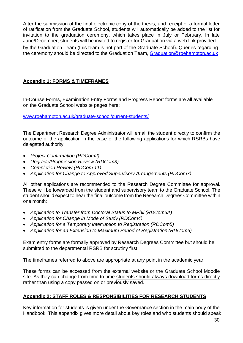After the submission of the final electronic copy of the thesis, and receipt of a formal letter of ratification from the Graduate School, students will automatically be added to the list for invitation to the graduation ceremony, which takes place in July or February. In late June/December, students will be invited to register for Graduation via a web link provided by the Graduation Team (this team is not part of the Graduate School). Queries regarding the ceremony should be directed to the Graduation Team, [Graduation@roehampton.ac.uk](mailto:Graduation@roehampton.ac.uk)

# <span id="page-33-0"></span>**Appendix 1: FORMS & TIMEFRAMES**

In-Course Forms, Examination Entry Forms and Progress Report forms are all available on the Graduate School website pages here:

[www.roehampton.ac.uk/graduate-school/current-students/](https://www.roehampton.ac.uk/graduate-school/current-students/)

The Department Research Degree Administrator will email the student directly to confirm the outcome of the application in the case of the following applications for which RSRBs have delegated authority:

- *Project Confirmation (RDCom2)*
- *Upgrade/Progression Review (RDCom3)*
- *Completion Review (RDCom 11)*
- *Application for Change to Approved Supervisory Arrangements (RDCom7)*

All other applications are recommended to the Research Degree Committee for approval. These will be forwarded from the student and supervisory team to the Graduate School. The student should expect to hear the final outcome from the Research Degrees Committee within one month:

- *Application to Transfer from Doctoral Status to MPhil (RDCom3A)*
- *Application for Change in Mode of Study (RDCom4)*
- *Application for a Temporary Interruption to Registration (RDCom5)*
- *Application for an Extension to Maximum Period of Registration (RDCom6)*

Exam entry forms are formally approved by Research Degrees Committee but should be submitted to the departmental RSRB for scrutiny first.

The timeframes referred to above are appropriate at any point in the academic year.

These forms can be accessed from the external website or the Graduate School Moodle site. As they can change from time to time students should always download forms directly rather than using a copy passed on or previously saved.

# <span id="page-33-1"></span>**Appendix 2: STAFF ROLES & RESPONSIBILITIES FOR RESEARCH STUDENTS**

Key information for students is given under the Governance section in the main body of the Handbook. This appendix gives more detail about key roles and who students should speak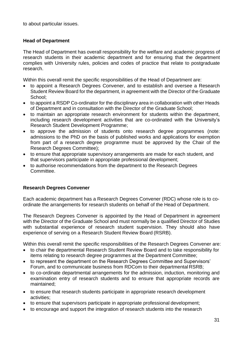to about particular issues.

#### <span id="page-34-0"></span>**Head of Department**

The Head of Department has overall responsibility for the welfare and academic progress of research students in their academic department and for ensuring that the department complies with University rules, policies and codes of practice that relate to postgraduate research.

Within this overall remit the specific responsibilities of the Head of Department are:

- to appoint a Research Degrees Convener, and to establish and oversee a Research Student Review Board for the department, in agreement with the Director of the Graduate School;
- to appoint a RSDP Co-ordinator for the disciplinary area in collaboration with other Heads of Department and in consultation with the Director of the Graduate School;
- to maintain an appropriate research environment for students within the department, including research development activities that are co-ordinated with the University's Research Student Development Programme;
- to approve the admission of students onto research degree programmes (note: admissions to the PhD on the basis of published works and applications for exemption from part of a research degree programme must be approved by the Chair of the Research Degrees Committee);
- to ensure that appropriate supervisory arrangements are made for each student, and that supervisors participate in appropriate professional development;
- to authorise recommendations from the department to the Research Degrees Committee.

# <span id="page-34-1"></span>**Research Degrees Convener**

Each academic department has a Research Degrees Convener (RDC) whose role is to coordinate the arrangements for research students on behalf of the Head of Department.

The Research Degrees Convener is appointed by the Head of Department in agreement with the Director of the Graduate School and must normally be a qualified Director of Studies with substantial experience of research student supervision. They should also have experience of serving on a Research Student Review Board (RSRB).

Within this overall remit the specific responsibilities of the Research Degrees Convener are:

- to chair the departmental Research Student Review Board and to take responsibility for items relating to research degree programmes at the Department Committee;
- to represent the department on the Research Degrees Committee and Supervisors' Forum, and to communicate business from RDCom to their departmental RSRB;
- to co-ordinate departmental arrangements for the admission, induction, monitoring and examination entry of research students and to ensure that appropriate records are maintained;
- to ensure that research students participate in appropriate research development activities;
- to ensure that supervisors participate in appropriate professional development;
- to encourage and support the integration of research students into the research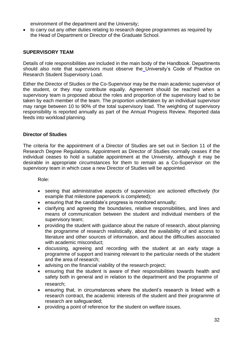environment of the department and the University;

 to carry out any other duties relating to research degree programmes as required by the Head of Department or Director of the Graduate School.

#### <span id="page-35-0"></span>**SUPERVISORY TEAM**

Details of role responsibilities are included in the main body of the Handbook. Departments should also note that supervisors must observe the University's Code of Practice on Research Student Supervisory Load.

Either the Director of Studies or the Co-Supervisor may be the main academic supervisor of the student, or they may contribute equally. Agreement should be reached when a supervisory team is proposed about the roles and proportion of the supervisory load to be taken by each member of the team. The proportion undertaken by an individual supervisor may range between 10 to 90% of the total supervisory load. The weighting of supervisory responsibility is reported annually as part of the Annual Progress Review. Reported data feeds into workload planning.

#### **Director of Studies**

The criteria for the appointment of a Director of Studies are set out in Section 11 of the Research Degree Regulations. Appointment as Director of Studies normally ceases if the individual ceases to hold a suitable appointment at the University, although it may be desirable in appropriate circumstances for them to remain as a Co-Supervisor on the supervisory team in which case a new Director of Studies will be appointed.

Role:

- seeing that administrative aspects of supervision are actioned effectively (for example that milestone paperwork is completed);
- ensuring that the candidate's progress is monitored annually;
- clarifying and agreeing the boundaries, relative responsibilities, and lines and means of communication between the student and individual members of the supervisory team;
- providing the student with guidance about the nature of research, about planning the programme of research realistically, about the availability of and access to literature and other sources of information, and about the difficulties associated with academic misconduct;
- discussing, agreeing and recording with the student at an early stage a programme of support and training relevant to the particular needs of the student and the area of research;
- advising on the financial viability of the research project;
- ensuring that the student is aware of their responsibilities towards health and safety both in general and in relation to the department and the programme of research;
- ensuring that, in circumstances where the student's research is linked with a research contract, the academic interests of the student and their programme of research are safeguarded;
- providing a point of reference for the student on welfare issues.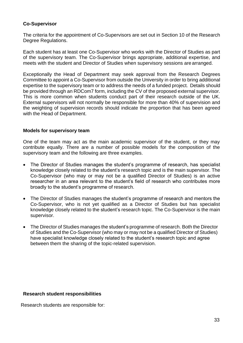# <span id="page-36-0"></span>**Co-Supervisor**

The criteria for the appointment of Co-Supervisors are set out in Section 10 of the Research Degree Regulations.

Each student has at least one Co-Supervisor who works with the Director of Studies as part of the supervisory team. The Co-Supervisor brings appropriate, additional expertise, and meets with the student and Director of Studies when supervisory sessions arearranged.

Exceptionally the Head of Department may seek approval from the Research Degrees Committee to appoint a Co-Supervisor from outside the University in order to bring additional expertise to the supervisory team or to address the needs of a funded project. Details should be provided through an RDCom7 form, including the CV of the proposed external supervisor. This is more common when students conduct part of their research outside of the UK. External supervisors will not normally be responsible for more than 40% of supervision and the weighting of supervision records should indicate the proportion that has been agreed with the Head of Department.

#### <span id="page-36-1"></span>**Models for supervisory team**

One of the team may act as the main academic supervisor of the student, or they may contribute equally. There are a number of possible models for the composition of the supervisory team and the following are three examples.

- The Director of Studies manages the student's programme of research, has specialist knowledge closely related to the student's research topic and is the main supervisor. The Co-Supervisor (who may or may not be a qualified Director of Studies) is an active researcher in an area relevant to the student's field of research who contributes more broadly to the student's programme of research.
- The Director of Studies manages the student's programme of research and mentors the Co-Supervisor, who is not yet qualified as a Director of Studies but has specialist knowledge closely related to the student's research topic. The Co-Supervisor is the main supervisor.
- The Director of Studies manages the student's programme of research. Both the Director of Studies and the Co-Supervisor (who may or may not be a qualified Director of Studies) have specialist knowledge closely related to the student's research topic and agree between them the sharing of the topic-related supervision.

#### <span id="page-36-2"></span>**Research student responsibilities**

Research students are responsible for: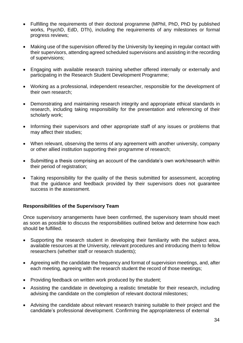- Fulfilling the requirements of their doctoral programme (MPhil, PhD, PhD by published works, PsychD, EdD, DTh), including the requirements of any milestones or formal progress reviews;
- Making use of the supervision offered by the University by keeping in regular contact with their supervisors, attending agreed scheduled supervisions and assisting in the recording of supervisions;
- Engaging with available research training whether offered internally or externally and participating in the Research Student Development Programme;
- Working as a professional, independent researcher, responsible for the development of their own research;
- Demonstrating and maintaining research integrity and appropriate ethical standards in research, including taking responsibility for the presentation and referencing of their scholarly work;
- Informing their supervisors and other appropriate staff of any issues or problems that may affect their studies;
- When relevant, observing the terms of any agreement with another university, company or other allied institution supporting their programme of research;
- Submitting a thesis comprising an account of the candidate's own work/research within their period of registration;
- Taking responsibility for the quality of the thesis submitted for assessment, accepting that the guidance and feedback provided by their supervisors does not guarantee success in the assessment.

# <span id="page-37-0"></span>**Responsibilities of the Supervisory Team**

Once supervisory arrangements have been confirmed, the supervisory team should meet as soon as possible to discuss the responsibilities outlined below and determine how each should be fulfilled.

- Supporting the research student in developing their familiarity with the subject area, available resources at the University, relevant procedures and introducing them to fellow researchers (whether staff or research students);
- Agreeing with the candidate the frequency and format of supervision meetings, and, after each meeting, agreeing with the research student the record of those meetings;
- Providing feedback on written work produced by the student;
- Assisting the candidate in developing a realistic timetable for their research, including advising the candidate on the completion of relevant doctoral milestones;
- Advising the candidate about relevant research training suitable to their project and the candidate's professional development. Confirming the appropriateness of external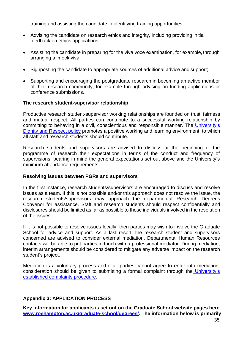training and assisting the candidate in identifying training opportunities;

- Advising the candidate on research ethics and integrity, including providing initial feedback on ethics applications;
- Assisting the candidate in preparing for the viva voce examination, for example, through arranging a 'mock viva';
- Signposting the candidate to appropriate sources of additional advice and support;
- Supporting and encouraging the postgraduate research in becoming an active member of their research community, for example through advising on funding applications or conference submissions.

#### <span id="page-38-0"></span>**The research student-supervisor relationship**

Productive research student-supervisor working relationships are founded on trust, fairness and mutual respect. All parties can contribute to a successful working relationship by committing to behaving in a civil, conscientious and responsible manner. The [University's](https://www.roehampton.ac.uk/globalassets/documents/corporate-information/policies/dignity-and-respect-policy-march-2016.pdf) [Dignity and Respect policy](https://www.roehampton.ac.uk/globalassets/documents/corporate-information/policies/dignity-and-respect-policy-march-2016.pdf) promotes a positive working and learning environment, to which all staff and research students should contribute.

Research students and supervisors are advised to discuss at the beginning of the programme of research their expectations in terms of the conduct and frequency of supervisions, bearing in mind the general expectations set out above and the University's minimum attendance requirements.

#### <span id="page-38-1"></span>**Resolving issues between PGRs and supervisors**

In the first instance, research students/supervisors are encouraged to discuss and resolve issues as a team. If this is not possible and/or this approach does not resolve the issue, the research students/supervisors may approach the departmental Research Degrees Convenor for assistance. Staff and research students should respect confidentially and disclosures should be limited as far as possible to those individuals involved in the resolution of the issues.

If it is not possible to resolve issues locally, then parties may wish to involve the Graduate School for advice and support. As a last resort, the research student and supervisors concerned are advised to consider external mediation. Departmental Human Resources contacts will be able to put parties in touch with a professional mediator. During mediation, interim arrangements should be considered to mitigate any adverse impact on the research student's project.

Mediation is a voluntary process and if all parties cannot agree to enter into mediation, consideration should be given to submitting a formal complaint through the [University's](https://www.roehampton.ac.uk/current-students/complaints/) [established complaints procedure.](https://www.roehampton.ac.uk/current-students/complaints/)

# <span id="page-38-2"></span>**Appendix 3: APPLICATION PROCESS**

<span id="page-38-3"></span>**Key information for applicants is set out on the Graduate School website pages here [www.roehampton.ac.uk/graduate-school/degrees/.](https://www.roehampton.ac.uk/graduate-school/degrees/) The information below is primarily**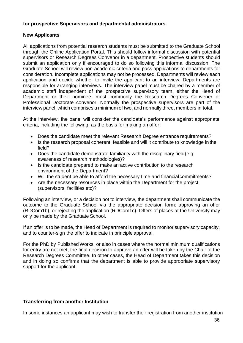# <span id="page-39-0"></span>**for prospective Supervisors and departmental administrators.**

#### **New Applicants**

All applications from potential research students must be submitted to the Graduate School through the Online Application Portal. This should follow informal discussion with potential supervisors or Research Degrees Convenor in a department. Prospective students should submit an application only if encouraged to do so following this informal discussion. The Graduate School will review non-academic criteria and pass applications to departments for consideration. Incomplete applications may not be processed. Departments will review each application and decide whether to invite the applicant to an interview. Departments are responsible for arranging interviews. The interview panel must be chaired by a member of academic staff independent of the prospective supervisory team, either the Head of Department or their nominee, most commonly the Research Degrees Convener or Professional Doctorate convenor. Normally the prospective supervisors are part of the interview panel, which comprises a minimum of two, and normally three, members in total.

At the interview, the panel will consider the candidate's performance against appropriate criteria, including the following, as the basis for making an offer:

- Does the candidate meet the relevant Research Degree entrance requirements?
- Is the research proposal coherent, feasible and will it contribute to knowledge in the field?
- Does the candidate demonstrate familiarity with the disciplinary field(e.g. awareness of research methodologies)?
- Is the candidate prepared to make an active contribution to the research environment of the Department?
- Will the student be able to afford the necessary time and financialcommitments?
- Are the necessary resources in place within the Department for the project (supervisors, facilities etc)?

Following an interview, or a decision not to interview, the department shall communicate the outcome to the Graduate School via the appropriate decision form: approving an offer (RDCom1b), or rejecting the application (RDCom1c). Offers of places at the University may only be made by the Graduate School.

If an offer is to be made, the Head of Department is required to monitor supervisory capacity, and to counter-sign the offer to indicate in principle approval.

For the PhD by Published Works, or also in cases where the normal minimum qualifications for entry are not met, the final decision to approve an offer will be taken by the Chair of the Research Degrees Committee. In other cases, the Head of Department takes this decision and in doing so confirms that the department is able to provide appropriate supervisory support for the applicant.

# <span id="page-39-1"></span>**Transferring from another Institution**

In some instances an applicant may wish to transfer their registration from another institution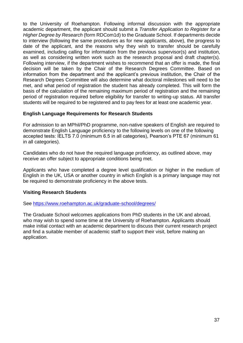to the University of Roehampton. Following informal discussion with the appropriate academic department, the applicant should submit a *Transfer Application to Register for a Higher Degree by Research* (form RDCom1d) to the Graduate School. If departments decide to interview (following the same procedures as for new applicants, above), the progress to date of the applicant, and the reasons why they wish to transfer should be carefully examined, including calling for information from the previous supervisor(s) and institution, as well as considering written work such as the research proposal and draft chapter(s). Following interview, if the department wishes to recommend that an offer is made, the final decision will be taken by the Chair of the Research Degrees Committee. Based on information from the department and the applicant's previous institution, the Chair of the Research Degrees Committee will also determine what doctoral milestones will need to be met, and what period of registration the student has already completed. This will form the basis of the calculation of the remaining maximum period of registration and the remaining period of registration required before eligibility for transfer to writing-up status. All transfer students will be required to be registered and to pay fees for at least one academic year.

#### <span id="page-40-0"></span>**English Language Requirements for Research Students**

For admission to an MPhil/PhD programme, non-native speakers of English are required to demonstrate English Language proficiency to the following levels on one of the following accepted tests: IELTS 7.0 (minimum 6.5 in all categories), Pearson's PTE 67 (minimum 61 in all categories).

Candidates who do not have the required language proficiency, as outlined above, may receive an offer subject to appropriate conditions being met.

Applicants who have completed a degree level qualification or higher in the medium of English in the UK, USA or another country in which English is a primary language may not be required to demonstrate proficiency in the above tests.

# <span id="page-40-1"></span>**Visiting Research Students**

See<https://www.roehampton.ac.uk/graduate-school/degrees/>

The Graduate School welcomes applications from PhD students in the UK and abroad, who may wish to spend some time at the University of Roehampton. Applicants should make initial contact with an academic department to discuss their current research project and find a suitable member of academic staff to support their visit, before making an application.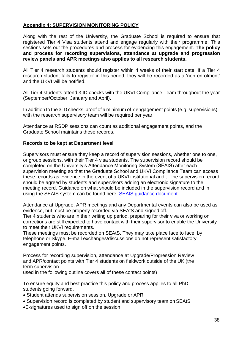#### <span id="page-41-0"></span>**Appendix 4: SUPERVISION MONITORING POLICY**

Along with the rest of the University, the Graduate School is required to ensure that registered Tier 4 Visa students attend and engage regularly with their programme. This sections sets out the procedures and process for evidencing this engagement. **The policy and process for recording supervisions, attendance at upgrade and progression review panels and APR meetings also applies to all research students.**

All Tier 4 research students should register within 4 weeks of their start date. If a Tier 4 research student fails to register in this period, they will be recorded as a 'non-enrolment' and the UKVI will be notified.

All Tier 4 students attend 3 ID checks with the UKVI Compliance Team throughout the year (September/October, January and April).

In addition to the 3 ID checks, proof of a minimum of 7 engagement points (e.g. supervisions) with the research supervisory team will be required per year.

Attendance at RSDP sessions can count as additional engagement points, and the Graduate School maintains these records.

#### <span id="page-41-1"></span>**Records to be kept at Department level**

Supervisors must ensure they keep a record of supervision sessions, whether one to one, or group sessions, with their Tier 4 visa students. The supervision record should be completed on the University's Attendance Monitoring System (SEAtS) after each supervision meeting so that the Graduate School and UKVI Compliance Team can access these records as evidence in the event of a UKVI institutional audit. The supervision record should be agreed by students and supervisors adding an electronic signature to the meeting record. Guidance on what should be included in the supervision record and in using the SEAtS system can be found here. **SEAtS guidance document** 

Attendance at Upgrade, APR meetings and any Departmental events can also be used as evidence, but must be properly recorded via SEAtS and signed off.

Tier 4 students who are in their writing up period, preparing for their viva or working on corrections are still expected to have contact with their supervisor to enable the University to meet their UKVI requirements.

These meetings must be recorded on SEAtS. They may take place face to face, by telephone or Skype. E-mail exchanges/discussions do not represent satisfactory engagement points.

Process for recording supervision, attendance at Upgrade/Progression Review and APR/contact points with Tier 4 students on fieldwork outside of the UK (the term supervision

used in the following outline covers all of these contact points)

To ensure equity and best practice this policy and process applies to all PhD students going forward.

- Student attends supervision session, Upgrade or APR
- Supervision record is completed by student and supervisory team on SEAtS
- E-signatures used to sign off on the session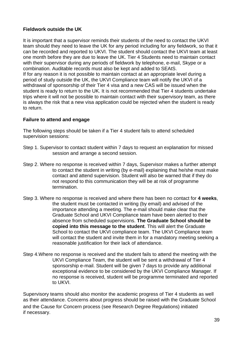# <span id="page-42-0"></span>**Fieldwork outside the UK**

It is important that a supervisor reminds their students of the need to contact the UKVI team should they need to leave the UK for any period including for any fieldwork, so that it can be recorded and reported to UKVI. The student should contact the UKVI team at least one month before they are due to leave the UK. Tier 4 Students need to maintain contact with their supervisor during any periods of fieldwork by telephone, e-mail, Skype or a combination. Auditable records must also be kept and added to SEAtS. If for any reason it is not possible to maintain contact at an appropriate level during a period of study outside the UK, the UKVI Compliance team will notify the UKVI of a withdrawal of sponsorship of their Tier 4 visa and a new CAS will be issued when the student is ready to return to the UK. It is not recommended that Tier 4 students undertake trips where it will not be possible to maintain contact with their supervisory team, as there

is always the risk that a new visa application could be rejected when the student is ready to return.

#### <span id="page-42-1"></span>**Failure to attend and engage**

The following steps should be taken if a Tier 4 student fails to attend scheduled supervision sessions:

- Step 1. Supervisor to contact student within 7 days to request an explanation for missed session and arrange a second session.
- Step 2. Where no response is received within 7 days, Supervisor makes a further attempt to contact the student in writing (by e-mail) explaining that he/she must make contact and attend supervision. Student will also be warned that if they do not respond to this communication they will be at risk of programme termination.
- Step 3. Where no response is received and where there has been no contact for **4 weeks**, the student must be contacted in writing (by email) and advised of the importance attending a meeting. The e-mail should make clear that the Graduate School and UKVI Compliance team have been alerted to their absence from scheduled supervisions. **The Graduate School should be copied into this message to the student**. This will alert the Graduate School to contact the UKVI compliance team. The UKVI Compliance team will contact the student and invite them in for a mandatory meeting seeking a reasonable justification for their lack of attendance.
- Step 4.Where no response is received and the student fails to attend the meeting with the UKVI Compliance Team, the student will be sent a withdrawal of Tier 4 sponsorship e-mail. Student will be given 7 days to provide any additional exceptional evidence to be considered by the UKVI Compliance Manager. If no response is received, student will be programme terminated and reported to UKVI.

Supervisory teams should also monitor the academic progress of Tier 4 students as well as their attendance. Concerns about progress should be raised with the Graduate School and the Cause for Concern process (see Research Degree Regulations) initiated if necessary.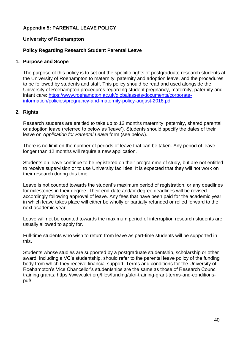# <span id="page-43-0"></span>**Appendix 5: PARENTAL LEAVE POLICY**

#### **University of Roehampton**

#### **Policy Regarding Research Student Parental Leave**

#### **1. Purpose and Scope**

The purpose of this policy is to set out the specific rights of postgraduate research students at the University of Roehampton to maternity, paternity and adoption leave, and the procedures to be followed by students and staff. This policy should be read and used alongside the University of Roehampton procedures regarding student pregnancy, maternity, paternity and infant care: [https://www.roehampton.ac.uk/globalassets/documents/corporate](https://www.roehampton.ac.uk/globalassets/documents/corporate-information/policies/pregnancy-and-maternity-policy-august-2018.pdf)[information/policies/pregnancy-and-maternity-policy-august-2018.pdf](https://www.roehampton.ac.uk/globalassets/documents/corporate-information/policies/pregnancy-and-maternity-policy-august-2018.pdf)

# **2. Rights**

Research students are entitled to take up to 12 months maternity, paternity, shared parental or adoption leave (referred to below as 'leave'). Students should specify the dates of their leave on *Application for Parental Leave* form (see below).

There is no limit on the number of periods of leave that can be taken. Any period of leave longer than 12 months will require a new application.

Students on leave continue to be registered on their programme of study, but are not entitled to receive supervision or to use University facilities. It is expected that they will not work on their research during this time.

Leave is not counted towards the student's maximum period of registration, or any deadlines for milestones in their degree. Their end-date and/or degree deadlines will be revised accordingly following approval of leave. Any fees that have been paid for the academic year in which leave takes place will either be wholly or partially refunded or rolled forward to the next academic year.

Leave will not be counted towards the maximum period of interruption research students are usually allowed to apply for.

Full-time students who wish to return from leave as part-time students will be supported in this.

Students whose studies are supported by a postgraduate studentship, scholarship or other award, including a VC's studentship, should refer to the parental leave policy of the funding body from which they receive financial support. Terms and conditions for the University of Roehampton's Vice Chancellor's studentships are the same as those of Research Council training grants: https:/[/www.ukri.org/files/funding/ukri-training-grant-terms-and-conditions](http://www.ukri.org/files/funding/ukri-training-grant-terms-and-conditions-)pdf/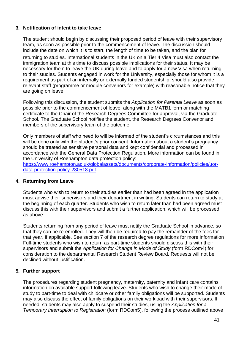#### **3. Notification of intent to take leave**

The student should begin by discussing their proposed period of leave with their supervisory team, as soon as possible prior to the commencement of leave. The discussion should include the date on which it is to start, the length of time to be taken, and the plan for

returning to studies. International students in the UK on a Tier 4 Visa must also contact the immigration team at this time to discuss possible implications for their status. It may be necessary for them to leave the UK during leave and to apply for a new Visa when returning to their studies. Students engaged in work for the University, especially those for whom it is a requirement as part of an internally or externally funded studentship, should also provide relevant staff (programme or module convenors for example) with reasonable notice that they are going on leave.

Following this discussion, the student submits the *Application for Parental Leave* as soon as possible prior to the commencement of leave, along with the MATB1 form or matching certificate to the Chair of the Research Degrees Committee for approval, via the Graduate School. The Graduate School notifies the student, the Research Degrees Convenor and members of the supervisory team of the outcome.

Only members of staff who need to will be informed of the student's circumstances and this will be done only with the student's prior consent. Information about a student's pregnancy should be treated as sensitive personal data and kept confidential and processed in accordance with the General Data Protection Regulation. More information can be found in the University of Roehampton data protection policy:

[https://www.roehampton.ac.uk/globalassets/documents/corporate-information/policies/uor](https://www.roehampton.ac.uk/globalassets/documents/corporate-information/policies/uor-data-protection-policy-230518.pdf)[data-protection-policy-230518.pdf](https://www.roehampton.ac.uk/globalassets/documents/corporate-information/policies/uor-data-protection-policy-230518.pdf)

#### **4. Returning from Leave**

Students who wish to return to their studies earlier than had been agreed in the application must advise their supervisors and their department in writing. Students can return to study at the beginning of each quarter. Students who wish to return later than had been agreed must discuss this with their supervisors and submit a further application, which will be processed as above.

Students returning from any period of leave must notify the Graduate School in advance, so that they can be re-enrolled. They will then be required to pay the remainder of the fees for that year, if applicable. See section 7 of the research degree regulations for more information Full-time students who wish to return as part-time students should discuss this with their supervisors and submit the *Application for Change in Mode of Study* (form RDCom4) for consideration to the departmental Research Student Review Board. Requests will not be declined without justification.

# **5. Further support**

The procedures regarding student pregnancy, maternity, paternity and infant care contains information on available support following leave. Students who wish to change their mode of study to part-time to deal with childcare or other family obligations will be supported. Students may also discuss the effect of family obligations on their workload with their supervisors. If needed, students may also apply to suspend their studies, using the *Application for a Temporary Interruption to Registration* (form RDCom5), following the process outlined above